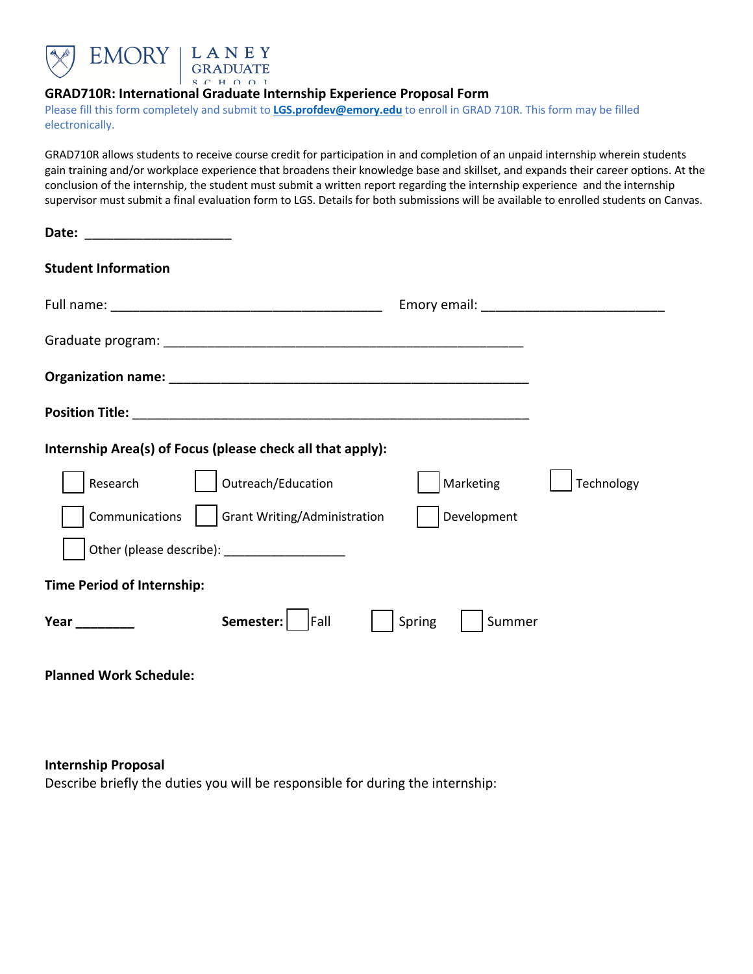

## **GRAD710R: International Graduate Internship Experience Proposal Form**

Please fill this form completely and submit to **LGS.profdev@emory.edu** to enroll in GRAD 710R. This form may be filled electronically.

GRAD710R allows students to receive course credit for participation in and completion of an unpaid internship wherein students gain training and/or workplace experience that broadens their knowledge base and skillset, and expands their career options. At the conclusion of the internship, the student must submit a written report regarding the internship experience and the internship supervisor must submit a final evaluation form to LGS. Details for both submissions will be available to enrolled students on Canvas.

| Date: _________________________                            |                                                |
|------------------------------------------------------------|------------------------------------------------|
| <b>Student Information</b>                                 |                                                |
|                                                            | Emory email: <u>__________________________</u> |
|                                                            |                                                |
|                                                            |                                                |
|                                                            |                                                |
| Internship Area(s) of Focus (please check all that apply): |                                                |
| Outreach/Education<br>Research                             | Marketing<br>Technology                        |
| Grant Writing/Administration<br>Communications             | Development                                    |
|                                                            |                                                |
| <b>Time Period of Internship:</b>                          |                                                |
| Semester:<br><b>Fall</b><br>Year $\qquad \qquad$           | Spring<br>Summer                               |

**Planned Work Schedule:**

**Internship Proposal**

Describe briefly the duties you will be responsible for during the internship: